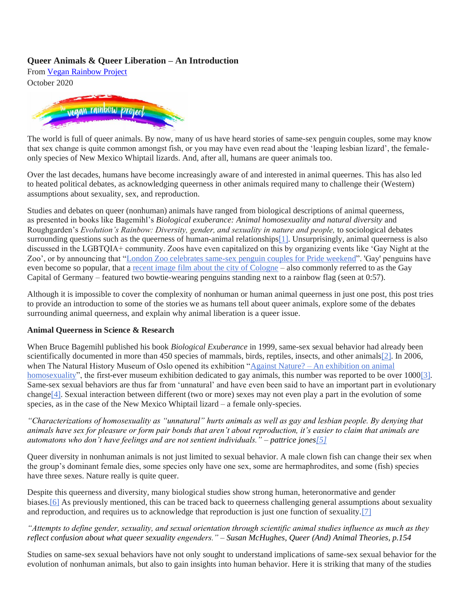From [Vegan Rainbow Project](https://www.the-vegan-rainbow-project.org/) October 2020



The world is full of queer animals. By now, many of us have heard stories of same-sex penguin couples, some may know that sex change is quite common amongst fish, or you may have even read about the 'leaping lesbian lizard', the femaleonly species of New Mexico Whiptail lizards. And, after all, humans are queer animals too.

Over the last decades, humans have become increasingly aware of and interested in animal queernes. This has also led to heated political debates, as acknowledging queerness in other animals required many to challenge their (Western) assumptions about sexuality, sex, and reproduction.

Studies and debates on queer (nonhuman) animals have ranged from biological descriptions of animal queerness, as presented in books like Bagemihl's *Biological exuberance: Animal homosexuality and natural diversity* and Roughgarden's *Evolution's Rainbow: Diversity, gender, and sexuality in nature and people,* to sociological debates surrounding questions such as the queerness of human-animal relationships<sup>[1]</sup>. Unsurprisingly, animal queerness is also discussed in the LGBTQIA+ community. Zoos have even capitalized on this by organizing events like 'Gay Night at the Zoo', or by announcing that ["London Zoo celebrates same-sex penguin couples for Pride weekend"](https://www.independent.co.uk/life-style/london-zoo-penguins-pride-night-lgbt-zsl-same-sex-ronnie-reggie-a8977206.html). 'Gay' penguins have even become so popular, that a [recent image film about the city of Cologne](https://www.youtube.com/watch?v=Bg2785d2epM) – also commonly referred to as the Gay Capital of Germany – featured two bowtie-wearing penguins standing next to a rainbow flag (seen at 0:57).

Although it is impossible to cover the complexity of nonhuman or human animal queerness in just one post, this post tries to provide an introduction to some of the stories we as humans tell about queer animals, explore some of the debates surrounding animal queerness, and explain why animal liberation is a queer issue.

#### **Animal Queerness in Science & Research**

When Bruce Bagemihl published his book *Biological Exuberance* in 1999, same-sex sexual behavior had already been scientifically documented in more than 450 species of mammals, birds, reptiles, insects, and other animals<sup>[2]</sup>. In 2006, when The Natural History Museum of Oslo opened its exhibition "Against Nature? – An exhibition on animal [homosexuality"](https://www.nhm.uio.no/besok-oss/utstillinger/skiftende/tidligere/againstnature/index-eng.html), the first-ever museum exhibition dedicated to gay animals, this number was reported to be over 100[0\[3\].](https://www.wix.com/dashboard/55478dd5-5a81-447d-9e05-8bb16b537274/blog/5fd49a4eef011400172f8547/edit#_ftn3) Same-sex sexual behaviors are thus far from 'unnatural' and have even been said to have an important part in evolutionary change[ $4$ ]. Sexual interaction between different (two or more) sexes may not even play a part in the evolution of some species, as in the case of the New Mexico Whiptail lizard – a female only-species.

*"Characterizations of homosexuality as "unnatural" hurts animals as well as gay and lesbian people. By denying that animals have sex for pleasure or form pair bonds that aren't about reproduction, it's easier to claim that animals are automatons who don't have feelings and are not sentient individuals." – pattrice jone[s\[5\]](https://www.wix.com/dashboard/55478dd5-5a81-447d-9e05-8bb16b537274/blog/5fd49a4eef011400172f8547/edit#_ftn5)*

Queer diversity in nonhuman animals is not just limited to sexual behavior. A male clown fish can change their sex when the group's dominant female dies, some species only have one sex, some are hermaphrodites, and some (fish) species have three sexes. Nature really is quite queer.

Despite this queerness and diversity, many biological studies show strong human, heteronormative and gender biase[s.\[6\]](https://www.wix.com/dashboard/55478dd5-5a81-447d-9e05-8bb16b537274/blog/5fd49a4eef011400172f8547/edit#_ftn6) As previously mentioned, this can be traced back to queerness challenging general assumptions about sexuality and reproduction, and requires us to acknowledge that reproduction is just one function of sexuality[.\[7\]](https://www.wix.com/dashboard/55478dd5-5a81-447d-9e05-8bb16b537274/blog/5fd49a4eef011400172f8547/edit#_ftn7)

### *"Attempts to define gender, sexuality, and sexual orientation through scientific animal studies influence as much as they reflect confusion about what queer sexuality engenders." – Susan McHughes, Queer (And) Animal Theories, p.154*

Studies on same-sex sexual behaviors have not only sought to understand implications of same-sex sexual behavior for the evolution of nonhuman animals, but also to gain insights into human behavior. Here it is striking that many of the studies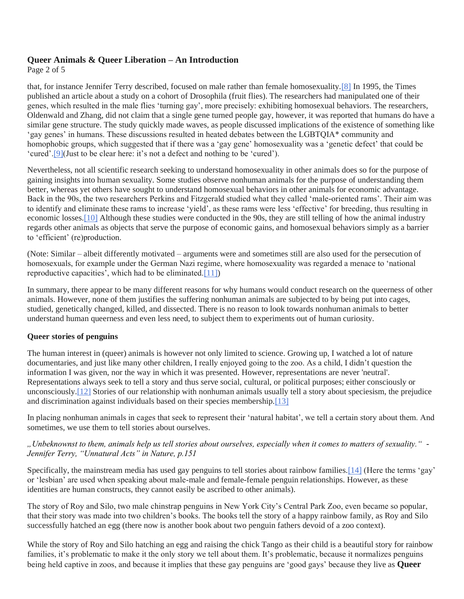Page 2 of 5

that, for instance Jennifer Terry described, focused on male rather than female homosexuality[.\[8\]](https://www.wix.com/dashboard/55478dd5-5a81-447d-9e05-8bb16b537274/blog/5fd49a4eef011400172f8547/edit#_ftn8) In 1995, the Times published an article about a study on a cohort of Drosophila (fruit flies). The researchers had manipulated one of their genes, which resulted in the male flies 'turning gay', more precisely: exhibiting homosexual behaviors. The researchers, Oldenwald and Zhang, did not claim that a single gene turned people gay, however, it was reported that humans do have a similar gene structure. The study quickly made waves, as people discussed implications of the existence of something like 'gay genes' in humans. These discussions resulted in heated debates between the LGBTQIA\* community and homophobic groups, which suggested that if there was a 'gay gene' homosexuality was a 'genetic defect' that could be 'cured'[.\[9\]\(](https://www.wix.com/dashboard/55478dd5-5a81-447d-9e05-8bb16b537274/blog/5fd49a4eef011400172f8547/edit#_ftn9)Just to be clear here: it's not a defect and nothing to be 'cured').

Nevertheless, not all scientific research seeking to understand homosexuality in other animals does so for the purpose of gaining insights into human sexuality. Some studies observe nonhuman animals for the purpose of understanding them better, whereas yet others have sought to understand homosexual behaviors in other animals for economic advantage. Back in the 90s, the two researchers Perkins and Fitzgerald studied what they called 'male-oriented rams'. Their aim was to identify and eliminate these rams to increase 'yield', as these rams were less 'effective' for breeding, thus resulting in economic losse[s.\[10\]](https://www.wix.com/dashboard/55478dd5-5a81-447d-9e05-8bb16b537274/blog/5fd49a4eef011400172f8547/edit#_ftn10) Although these studies were conducted in the 90s, they are still telling of how the animal industry regards other animals as objects that serve the purpose of economic gains, and homosexual behaviors simply as a barrier to 'efficient' (re)production.

(Note: Similar – albeit differently motivated – arguments were and sometimes still are also used for the persecution of homosexuals, for example under the German Nazi regime, where homosexuality was regarded a menace to 'national reproductive capacities', which had to be eliminate[d.\[11\]\)](https://www.wix.com/dashboard/55478dd5-5a81-447d-9e05-8bb16b537274/blog/5fd49a4eef011400172f8547/edit#_ftn11)

In summary, there appear to be many different reasons for why humans would conduct research on the queerness of other animals. However, none of them justifies the suffering nonhuman animals are subjected to by being put into cages, studied, genetically changed, killed, and dissected. There is no reason to look towards nonhuman animals to better understand human queerness and even less need, to subject them to experiments out of human curiosity.

### **Queer stories of penguins**

The human interest in (queer) animals is however not only limited to science. Growing up, I watched a lot of nature documentaries, and just like many other children, I really enjoyed going to the zoo. As a child, I didn't question the information I was given, nor the way in which it was presented. However, representations are never 'neutral'. Representations always seek to tell a story and thus serve social, cultural, or political purposes; either consciously or unconsciousl[y.\[12\]](https://www.wix.com/dashboard/55478dd5-5a81-447d-9e05-8bb16b537274/blog/5fd49a4eef011400172f8547/edit#_ftn12) Stories of our relationship with nonhuman animals usually tell a story about speciesism, the prejudice and discrimination against individuals based on their species membership[.\[13\]](https://www.wix.com/dashboard/55478dd5-5a81-447d-9e05-8bb16b537274/blog/5fd49a4eef011400172f8547/edit#_ftn13)

In placing nonhuman animals in cages that seek to represent their 'natural habitat', we tell a certain story about them. And sometimes, we use them to tell stories about ourselves.

### *"Unbeknownst to them, animals help us tell stories about ourselves, especially when it comes to matters of sexuality." - Jennifer Terry, "Unnatural Acts" in Nature, p.151*

Specifically, the mainstream media has used gay penguins to tell stories about rainbow families[.\[14\]](https://www.wix.com/dashboard/55478dd5-5a81-447d-9e05-8bb16b537274/blog/5fd49a4eef011400172f8547/edit#_ftn14) (Here the terms 'gay' or 'lesbian' are used when speaking about male-male and female-female penguin relationships. However, as these identities are human constructs, they cannot easily be ascribed to other animals).

The story of Roy and Silo, two male chinstrap penguins in New York City's Central Park Zoo, even became so popular, that their story was made into two children's books. The books tell the story of a happy rainbow family, as Roy and Silo successfully hatched an egg (there now is another book about two penguin fathers devoid of a zoo context).

While the story of Roy and Silo hatching an egg and raising the chick Tango as their child is a beautiful story for rainbow families, it's problematic to make it the only story we tell about them. It's problematic, because it normalizes penguins being held captive in zoos, and because it implies that these gay penguins are 'good gays' because they live as **Queer**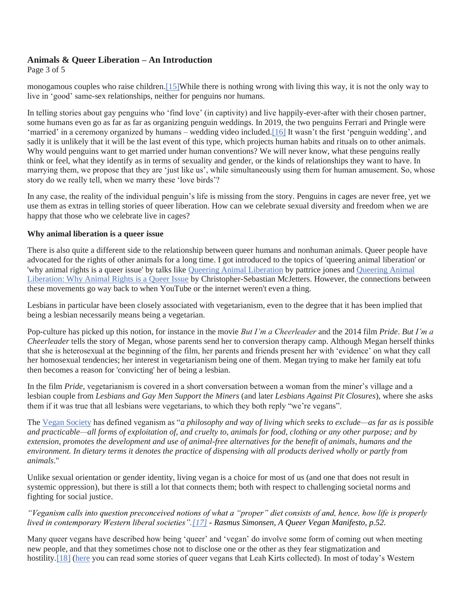Page 3 of 5

monogamous couples who raise children[.\[15\]W](https://www.wix.com/dashboard/55478dd5-5a81-447d-9e05-8bb16b537274/blog/5fd49a4eef011400172f8547/edit#_ftn15)hile there is nothing wrong with living this way, it is not the only way to live in 'good' same-sex relationships, neither for penguins nor humans.

In telling stories about gay penguins who 'find love' (in captivity) and live happily-ever-after with their chosen partner, some humans even go as far as far as organizing penguin weddings. In 2019, the two penguins Ferrari and Pringle were 'married' in a ceremony organized by humans – wedding video included.<sup>[16]</sup> It wasn't the first 'penguin wedding', and sadly it is unlikely that it will be the last event of this type, which projects human habits and rituals on to other animals. Why would penguins want to get married under human conventions? We will never know, what these penguins really think or feel, what they identify as in terms of sexuality and gender, or the kinds of relationships they want to have. In marrying them, we propose that they are 'just like us', while simultaneously using them for human amusement. So, whose story do we really tell, when we marry these 'love birds'?

In any case, the reality of the individual penguin's life is missing from the story. Penguins in cages are never free, yet we use them as extras in telling stories of queer liberation. How can we celebrate sexual diversity and freedom when we are happy that those who we celebrate live in cages?

### **Why animal liberation is a queer issue**

There is also quite a different side to the relationship between queer humans and nonhuman animals. Queer people have advocated for the rights of other animals for a long time. I got introduced to the topics of 'queering animal liberation' or 'why animal rights is a queer issue' by talks like [Queering Animal Liberation](https://www.youtube.com/watch?v=gb02o7Peabg) by pattrice jones and [Queering Animal](https://www.youtube.com/watch?v=SkRke88QKPs)  [Liberation: Why Animal Rights is a Queer Issue](https://www.youtube.com/watch?v=SkRke88QKPs) by Christopher-Sebastian McJetters. However, the connections between these movements go way back to when YouTube or the internet weren't even a thing.

Lesbians in particular have been closely associated with vegetarianism, even to the degree that it has been implied that being a lesbian necessarily means being a vegetarian.

Pop-culture has picked up this notion, for instance in the movie *But I'm a Cheerleader* and the 2014 film *Pride*. *But I'm a Cheerleader* tells the story of Megan, whose parents send her to conversion therapy camp. Although Megan herself thinks that she is heterosexual at the beginning of the film, her parents and friends present her with 'evidence' on what they call her homosexual tendencies; her interest in vegetarianism being one of them. Megan trying to make her family eat tofu then becomes a reason for 'convicting' her of being a lesbian.

In the film *Pride,* vegetarianism is covered in a short conversation between a woman from the miner's village and a lesbian couple from *Lesbians and Gay Men Support the Miners* (and later *Lesbians Against Pit Closures*), where she asks them if it was true that all lesbians were vegetarians, to which they both reply "we're vegans".

The [Vegan Society](https://www.vegansociety.com/go-vegan/definition-veganism) has defined veganism as "*a philosophy and way of living which seeks to exclude—as far as is possible and practicable—all forms of exploitation of, and cruelty to, animals for food, clothing or any other purpose; and by extension, promotes the development and use of animal-free alternatives for the benefit of animals, humans and the environment. In dietary terms it denotes the practice of dispensing with all products derived wholly or partly from animals*."

Unlike sexual orientation or gender identity, living vegan is a choice for most of us (and one that does not result in systemic oppression), but there is still a lot that connects them; both with respect to challenging societal norms and fighting for social justice.

### *"Veganism calls into question preconceived notions of what a "proper" diet consists of and, hence, how life is properly lived in contemporary Western liberal societies"[.\[17\]](https://www.wix.com/dashboard/55478dd5-5a81-447d-9e05-8bb16b537274/blog/5fd49a4eef011400172f8547/edit#_ftn17) - Rasmus Simonsen, A Queer Vegan Manifesto, p.52.*

Many queer vegans have described how being 'queer' and 'vegan' do involve some form of coming out when meeting new people, and that they sometimes chose not to disclose one or the other as they fear stigmatization and hostility.<sup>[18]</sup> [\(here](http://www.jarrymag.com/jarrybriefs/comingoutasvegan) you can read some stories of queer vegans that Leah Kirts collected). In most of today's Western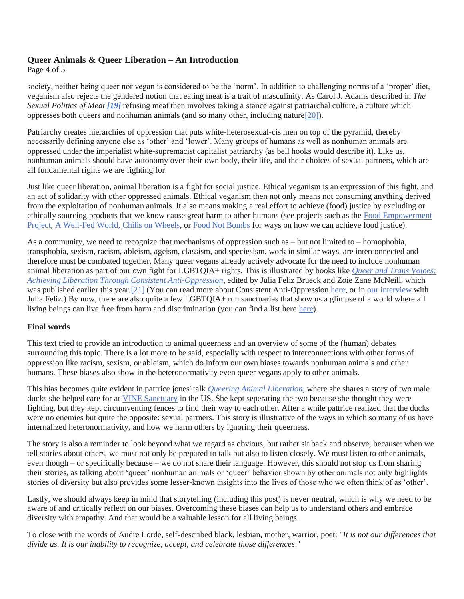Page 4 of 5

society, neither being queer nor vegan is considered to be the 'norm'. In addition to challenging norms of a 'proper' diet, veganism also rejects the gendered notion that eating meat is a trait of masculinity. As Carol J. Adams described in *The Sexual Politics of Meat [\[19\]](https://www.wix.com/dashboard/55478dd5-5a81-447d-9e05-8bb16b537274/blog/5fd49a4eef011400172f8547/edit#_ftn19)* refusing meat then involves taking a stance against patriarchal culture, a culture which oppresses both queers and nonhuman animals (and so many other, including natur[e\[20\]\)](https://www.wix.com/dashboard/55478dd5-5a81-447d-9e05-8bb16b537274/blog/5fd4bbb1de2e4a0017c65824/edit#_ftn20).

Patriarchy creates hierarchies of oppression that puts white-heterosexual-cis men on top of the pyramid, thereby necessarily defining anyone else as 'other' and 'lower'. Many groups of humans as well as nonhuman animals are oppressed under the imperialist white-supremacist capitalist patriarchy (as bell hooks would describe it). Like us, nonhuman animals should have autonomy over their own body, their life, and their choices of sexual partners, which are all fundamental rights we are fighting for.

Just like queer liberation, animal liberation is a fight for social justice. Ethical veganism is an expression of this fight, and an act of solidarity with other oppressed animals. Ethical veganism then not only means not consuming anything derived from the exploitation of nonhuman animals. It also means making a real effort to achieve (food) justice by excluding or ethically sourcing products that we know cause great harm to other humans (see projects such as the [Food Empowerment](https://foodispower.org/)  [Project,](https://foodispower.org/) [A Well-Fed World,](https://awellfedworld.org/) [Chilis on Wheels,](http://www.chilisonwheels.org/) or [Food Not Bombs](http://foodnotbombs.net/new_site/) for ways on how we can achieve food justice).

As a community, we need to recognize that mechanisms of oppression such as – but not limited to – homophobia, transphobia, sexism, racism, ableism, ageism, classism, and speciesism, work in similar ways, are interconnected and therefore must be combated together. Many queer vegans already actively advocate for the need to include nonhuman animal liberation as part of our own fight for LGBTQIA+ rights. This is illustrated by books like *[Queer and Trans Voices:](https://sanctuarypublishers.com/shop/ols/products/queer-and-trans-voices-achieving-liberation-through-consistent-anti-oppression)  [Achieving Liberation Through Consistent Anti-Oppression,](https://sanctuarypublishers.com/shop/ols/products/queer-and-trans-voices-achieving-liberation-through-consistent-anti-oppression)* edited by Julia Feliz Brueck and Zoie Zane McNeill, which was published earlier this year.<sup>[21]</sup> (You can read more about Consistent Anti-Oppression [here,](http://www.consistentantioppression.com/) or in [our interview](https://www.the-vegan-rainbow-project.org/post/interview-with-julia-feliz?lang=de) with Julia Feliz.) By now, there are also quite a few LGBTQIA+ run sanctuaries that show us a glimpse of a world where all living beings can live free from harm and discrimination (you can find a list here [here\)](https://www.the-vegan-rainbow-project.org/post/lgbtq-run-sanctuaries).

### **Final words**

This text tried to provide an introduction to animal queerness and an overview of some of the (human) debates surrounding this topic. There is a lot more to be said, especially with respect to interconnections with other forms of oppression like racism, sexism, or ableism, which do inform our own biases towards nonhuman animals and other humans. These biases also show in the heteronormativity even queer vegans apply to other animals.

This bias becomes quite evident in pattrice jones' talk *[Queering Animal Liberation](https://www.youtube.com/watch?v=36oPVbrU5uY)*, where she shares a story of two male ducks she helped care for at [VINE Sanctuary](http://vine.bravebirds.org/) in the US. She kept seperating the two because she thought they were fighting, but they kept circumventing fences to find their way to each other. After a while pattrice realized that the ducks were no enemies but quite the opposite: sexual partners. This story is illustrative of the ways in which so many of us have internalized heteronormativity, and how we harm others by ignoring their queerness.

The story is also a reminder to look beyond what we regard as obvious, but rather sit back and observe, because: when we tell stories about others, we must not only be prepared to talk but also to listen closely. We must listen to other animals, even though – or specifically because – we do not share their language. However, this should not stop us from sharing their stories, as talking about 'queer' nonhuman animals or 'queer' behavior shown by other animals not only highlights stories of diversity but also provides some lesser-known insights into the lives of those who we often think of as 'other'.

Lastly, we should always keep in mind that storytelling (including this post) is never neutral, which is why we need to be aware of and critically reflect on our biases. Overcoming these biases can help us to understand others and embrace diversity with empathy. And that would be a valuable lesson for all living beings.

To close with the words of Audre Lorde, self-described black, lesbian, mother, warrior, poet: "*It is not our differences that divide us. It is our inability to recognize, accept, and celebrate those differences*."